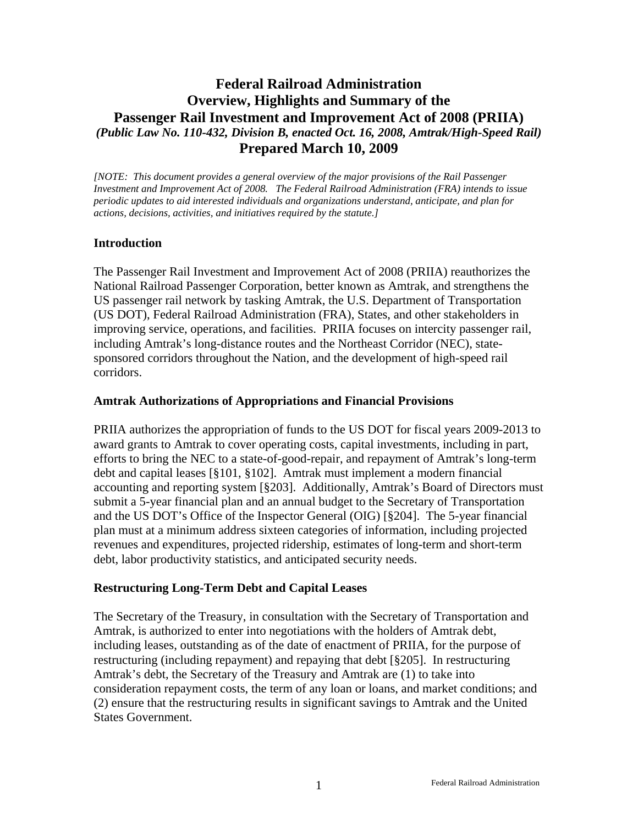# **Federal Railroad Administration Overview, Highlights and Summary of the Passenger Rail Investment and Improvement Act of 2008 (PRIIA)**  *(Public Law No. 110-432, Division B, enacted Oct. 16, 2008, Amtrak/High-Speed Rail)*  **Prepared March 10, 2009**

*[NOTE: This document provides a general overview of the major provisions of the Rail Passenger Investment and Improvement Act of 2008. The Federal Railroad Administration (FRA) intends to issue periodic updates to aid interested individuals and organizations understand, anticipate, and plan for actions, decisions, activities, and initiatives required by the statute.]* 

#### **Introduction**

The Passenger Rail Investment and Improvement Act of 2008 (PRIIA) reauthorizes the National Railroad Passenger Corporation, better known as Amtrak, and strengthens the US passenger rail network by tasking Amtrak, the U.S. Department of Transportation (US DOT), Federal Railroad Administration (FRA), States, and other stakeholders in improving service, operations, and facilities. PRIIA focuses on intercity passenger rail, including Amtrak's long-distance routes and the Northeast Corridor (NEC), statesponsored corridors throughout the Nation, and the development of high-speed rail corridors.

#### **Amtrak Authorizations of Appropriations and Financial Provisions**

PRIIA authorizes the appropriation of funds to the US DOT for fiscal years 2009-2013 to award grants to Amtrak to cover operating costs, capital investments, including in part, efforts to bring the NEC to a state-of-good-repair, and repayment of Amtrak's long-term debt and capital leases [§101, §102]. Amtrak must implement a modern financial accounting and reporting system [§203]. Additionally, Amtrak's Board of Directors must submit a 5-year financial plan and an annual budget to the Secretary of Transportation and the US DOT's Office of the Inspector General (OIG) [§204]. The 5-year financial plan must at a minimum address sixteen categories of information, including projected revenues and expenditures, projected ridership, estimates of long-term and short-term debt, labor productivity statistics, and anticipated security needs.

#### **Restructuring Long-Term Debt and Capital Leases**

The Secretary of the Treasury, in consultation with the Secretary of Transportation and Amtrak, is authorized to enter into negotiations with the holders of Amtrak debt, including leases, outstanding as of the date of enactment of PRIIA, for the purpose of restructuring (including repayment) and repaying that debt [§205]. In restructuring Amtrak's debt, the Secretary of the Treasury and Amtrak are (1) to take into consideration repayment costs, the term of any loan or loans, and market conditions; and (2) ensure that the restructuring results in significant savings to Amtrak and the United States Government.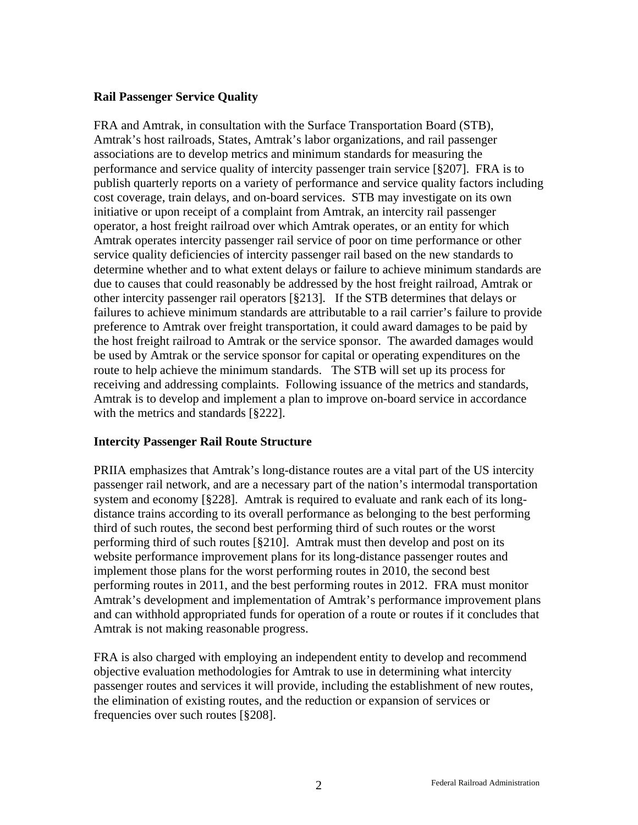### **Rail Passenger Service Quality**

FRA and Amtrak, in consultation with the Surface Transportation Board (STB), Amtrak's host railroads, States, Amtrak's labor organizations, and rail passenger associations are to develop metrics and minimum standards for measuring the performance and service quality of intercity passenger train service [§207]. FRA is to publish quarterly reports on a variety of performance and service quality factors including cost coverage, train delays, and on-board services. STB may investigate on its own initiative or upon receipt of a complaint from Amtrak, an intercity rail passenger operator, a host freight railroad over which Amtrak operates, or an entity for which Amtrak operates intercity passenger rail service of poor on time performance or other service quality deficiencies of intercity passenger rail based on the new standards to determine whether and to what extent delays or failure to achieve minimum standards are due to causes that could reasonably be addressed by the host freight railroad, Amtrak or other intercity passenger rail operators [§213]. If the STB determines that delays or failures to achieve minimum standards are attributable to a rail carrier's failure to provide preference to Amtrak over freight transportation, it could award damages to be paid by the host freight railroad to Amtrak or the service sponsor. The awarded damages would be used by Amtrak or the service sponsor for capital or operating expenditures on the route to help achieve the minimum standards. The STB will set up its process for receiving and addressing complaints. Following issuance of the metrics and standards, Amtrak is to develop and implement a plan to improve on-board service in accordance with the metrics and standards [§222].

# **Intercity Passenger Rail Route Structure**

PRIIA emphasizes that Amtrak's long-distance routes are a vital part of the US intercity passenger rail network, and are a necessary part of the nation's intermodal transportation system and economy [§228]. Amtrak is required to evaluate and rank each of its longdistance trains according to its overall performance as belonging to the best performing third of such routes, the second best performing third of such routes or the worst performing third of such routes [§210]. Amtrak must then develop and post on its website performance improvement plans for its long-distance passenger routes and implement those plans for the worst performing routes in 2010, the second best performing routes in 2011, and the best performing routes in 2012. FRA must monitor Amtrak's development and implementation of Amtrak's performance improvement plans and can withhold appropriated funds for operation of a route or routes if it concludes that Amtrak is not making reasonable progress.

FRA is also charged with employing an independent entity to develop and recommend objective evaluation methodologies for Amtrak to use in determining what intercity passenger routes and services it will provide, including the establishment of new routes, the elimination of existing routes, and the reduction or expansion of services or frequencies over such routes [§208].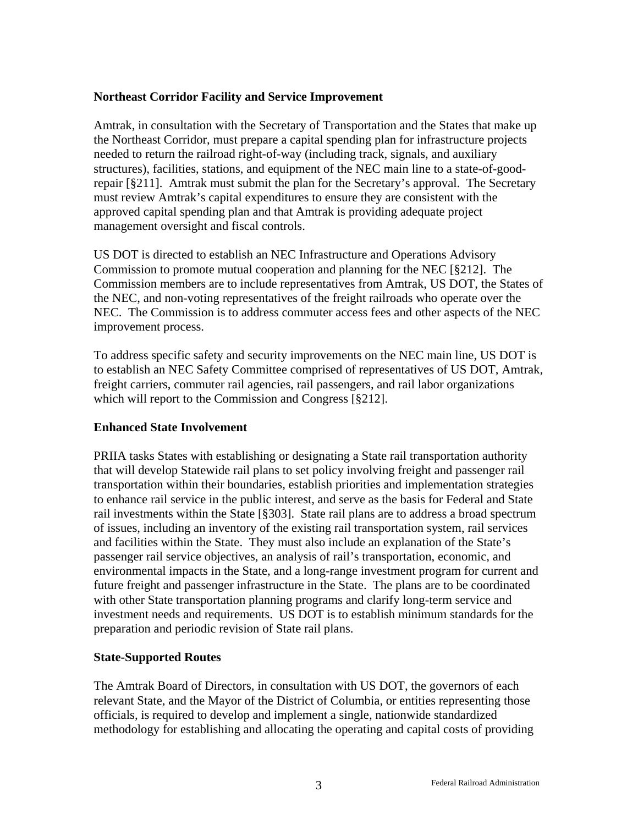### **Northeast Corridor Facility and Service Improvement**

Amtrak, in consultation with the Secretary of Transportation and the States that make up the Northeast Corridor, must prepare a capital spending plan for infrastructure projects needed to return the railroad right-of-way (including track, signals, and auxiliary structures), facilities, stations, and equipment of the NEC main line to a state-of-goodrepair [§211]. Amtrak must submit the plan for the Secretary's approval. The Secretary must review Amtrak's capital expenditures to ensure they are consistent with the approved capital spending plan and that Amtrak is providing adequate project management oversight and fiscal controls.

US DOT is directed to establish an NEC Infrastructure and Operations Advisory Commission to promote mutual cooperation and planning for the NEC [§212]. The Commission members are to include representatives from Amtrak, US DOT, the States of the NEC, and non-voting representatives of the freight railroads who operate over the NEC. The Commission is to address commuter access fees and other aspects of the NEC improvement process.

To address specific safety and security improvements on the NEC main line, US DOT is to establish an NEC Safety Committee comprised of representatives of US DOT, Amtrak, freight carriers, commuter rail agencies, rail passengers, and rail labor organizations which will report to the Commission and Congress [§212].

# **Enhanced State Involvement**

PRIIA tasks States with establishing or designating a State rail transportation authority that will develop Statewide rail plans to set policy involving freight and passenger rail transportation within their boundaries, establish priorities and implementation strategies to enhance rail service in the public interest, and serve as the basis for Federal and State rail investments within the State [§303]. State rail plans are to address a broad spectrum of issues, including an inventory of the existing rail transportation system, rail services and facilities within the State. They must also include an explanation of the State's passenger rail service objectives, an analysis of rail's transportation, economic, and environmental impacts in the State, and a long-range investment program for current and future freight and passenger infrastructure in the State. The plans are to be coordinated with other State transportation planning programs and clarify long-term service and investment needs and requirements. US DOT is to establish minimum standards for the preparation and periodic revision of State rail plans.

#### **State-Supported Routes**

The Amtrak Board of Directors, in consultation with US DOT, the governors of each relevant State, and the Mayor of the District of Columbia, or entities representing those officials, is required to develop and implement a single, nationwide standardized methodology for establishing and allocating the operating and capital costs of providing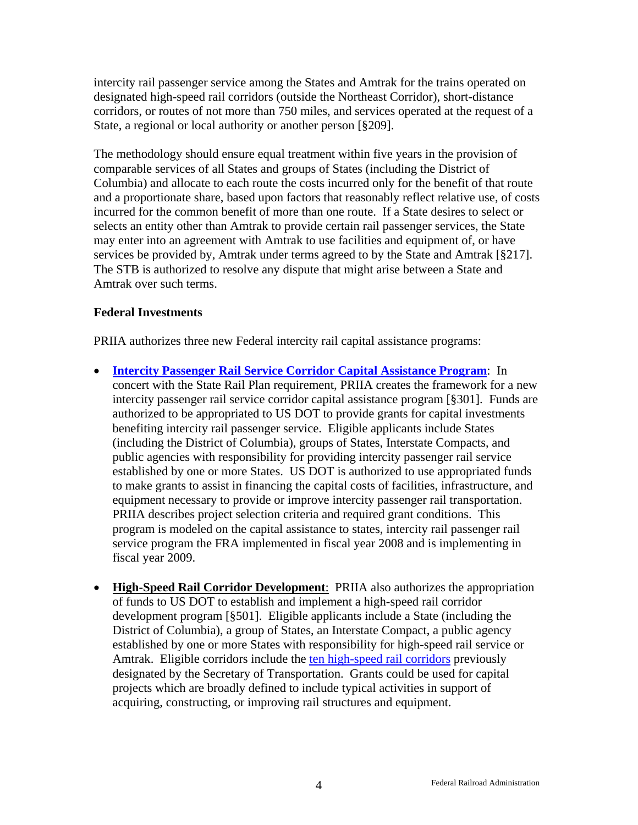intercity rail passenger service among the States and Amtrak for the trains operated on designated high-speed rail corridors (outside the Northeast Corridor), short-distance corridors, or routes of not more than 750 miles, and services operated at the request of a State, a regional or local authority or another person [§209].

The methodology should ensure equal treatment within five years in the provision of comparable services of all States and groups of States (including the District of Columbia) and allocate to each route the costs incurred only for the benefit of that route and a proportionate share, based upon factors that reasonably reflect relative use, of costs incurred for the common benefit of more than one route. If a State desires to select or selects an entity other than Amtrak to provide certain rail passenger services, the State may enter into an agreement with Amtrak to use facilities and equipment of, or have services be provided by, Amtrak under terms agreed to by the State and Amtrak [§217]. The STB is authorized to resolve any dispute that might arise between a State and Amtrak over such terms.

# **Federal Investments**

PRIIA authorizes three new Federal intercity rail capital assistance programs:

- **[Intercity Passenger Rail Service Corridor Capital Assistance Program](http://www.fra.dot.gov/us/content/1990)**: In concert with the State Rail Plan requirement, PRIIA creates the framework for a new intercity passenger rail service corridor capital assistance program [§301]. Funds are authorized to be appropriated to US DOT to provide grants for capital investments benefiting intercity rail passenger service. Eligible applicants include States (including the District of Columbia), groups of States, Interstate Compacts, and public agencies with responsibility for providing intercity passenger rail service established by one or more States. US DOT is authorized to use appropriated funds to make grants to assist in financing the capital costs of facilities, infrastructure, and equipment necessary to provide or improve intercity passenger rail transportation. PRIIA describes project selection criteria and required grant conditions. This program is modeled on the capital assistance to states, intercity rail passenger rail service program the FRA implemented in fiscal year 2008 and is implementing in fiscal year 2009.
- **High-Speed Rail Corridor Development**: PRIIA also authorizes the appropriation of funds to US DOT to establish and implement a high-speed rail corridor development program [§501]. Eligible applicants include a State (including the District of Columbia), a group of States, an Interstate Compact, a public agency established by one or more States with responsibility for high-speed rail service or Amtrak. Eligible corridors include the [ten high-speed rail corridors](http://www.fra.dot.gov/us/content/203) previously designated by the Secretary of Transportation. Grants could be used for capital projects which are broadly defined to include typical activities in support of acquiring, constructing, or improving rail structures and equipment.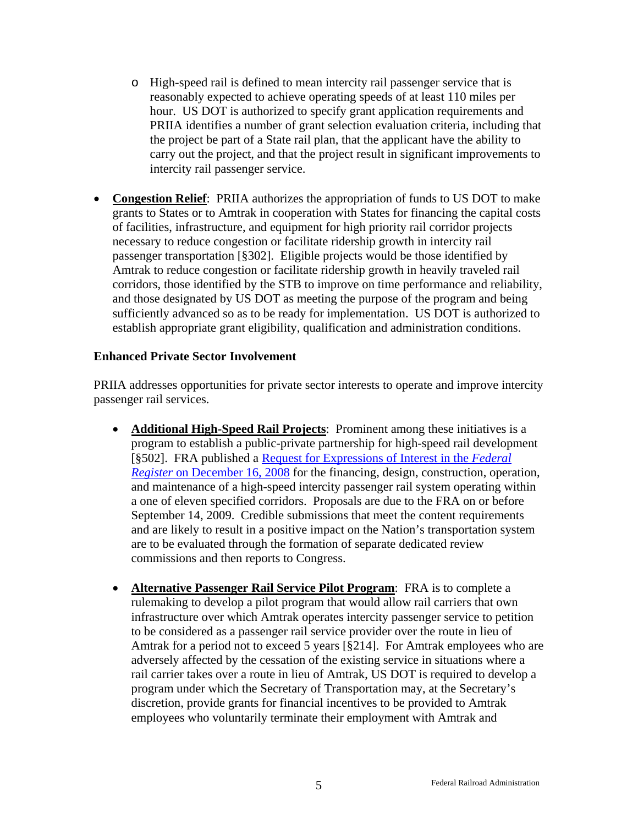- o High-speed rail is defined to mean intercity rail passenger service that is reasonably expected to achieve operating speeds of at least 110 miles per hour. US DOT is authorized to specify grant application requirements and PRIIA identifies a number of grant selection evaluation criteria, including that the project be part of a State rail plan, that the applicant have the ability to carry out the project, and that the project result in significant improvements to intercity rail passenger service.
- **Congestion Relief**: PRIIA authorizes the appropriation of funds to US DOT to make grants to States or to Amtrak in cooperation with States for financing the capital costs of facilities, infrastructure, and equipment for high priority rail corridor projects necessary to reduce congestion or facilitate ridership growth in intercity rail passenger transportation [§302]. Eligible projects would be those identified by Amtrak to reduce congestion or facilitate ridership growth in heavily traveled rail corridors, those identified by the STB to improve on time performance and reliability, and those designated by US DOT as meeting the purpose of the program and being sufficiently advanced so as to be ready for implementation. US DOT is authorized to establish appropriate grant eligibility, qualification and administration conditions.

#### **Enhanced Private Sector Involvement**

PRIIA addresses opportunities for private sector interests to operate and improve intercity passenger rail services.

- **Additional High-Speed Rail Projects**: Prominent among these initiatives is a program to establish a public-private partnership for high-speed rail development [§502]. FRA published a [Request for Expressions of Interest in the](http://www.fra.dot.gov/us/content/2107) *Federal Register* [on December 16, 2008](http://www.fra.dot.gov/us/content/2107) for the financing, design, construction, operation, and maintenance of a high-speed intercity passenger rail system operating within a one of eleven specified corridors. Proposals are due to the FRA on or before September 14, 2009. Credible submissions that meet the content requirements and are likely to result in a positive impact on the Nation's transportation system are to be evaluated through the formation of separate dedicated review commissions and then reports to Congress.
- **Alternative Passenger Rail Service Pilot Program**: FRA is to complete a rulemaking to develop a pilot program that would allow rail carriers that own infrastructure over which Amtrak operates intercity passenger service to petition to be considered as a passenger rail service provider over the route in lieu of Amtrak for a period not to exceed 5 years [§214]. For Amtrak employees who are adversely affected by the cessation of the existing service in situations where a rail carrier takes over a route in lieu of Amtrak, US DOT is required to develop a program under which the Secretary of Transportation may, at the Secretary's discretion, provide grants for financial incentives to be provided to Amtrak employees who voluntarily terminate their employment with Amtrak and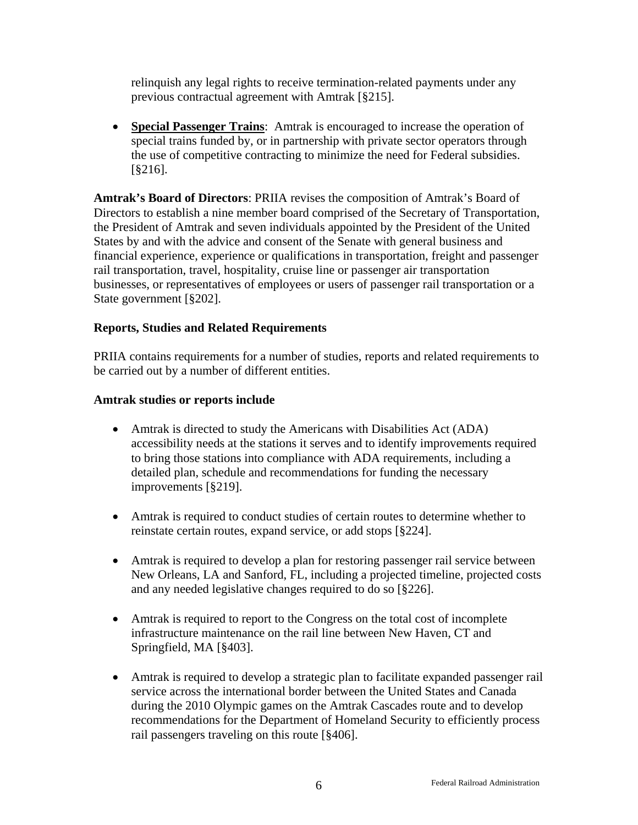relinquish any legal rights to receive termination-related payments under any previous contractual agreement with Amtrak [§215].

• **Special Passenger Trains**: Amtrak is encouraged to increase the operation of special trains funded by, or in partnership with private sector operators through the use of competitive contracting to minimize the need for Federal subsidies. [§216].

**Amtrak's Board of Directors**: PRIIA revises the composition of Amtrak's Board of Directors to establish a nine member board comprised of the Secretary of Transportation, the President of Amtrak and seven individuals appointed by the President of the United States by and with the advice and consent of the Senate with general business and financial experience, experience or qualifications in transportation, freight and passenger rail transportation, travel, hospitality, cruise line or passenger air transportation businesses, or representatives of employees or users of passenger rail transportation or a State government [§202].

### **Reports, Studies and Related Requirements**

PRIIA contains requirements for a number of studies, reports and related requirements to be carried out by a number of different entities.

#### **Amtrak studies or reports include**

- Amtrak is directed to study the Americans with Disabilities Act (ADA) accessibility needs at the stations it serves and to identify improvements required to bring those stations into compliance with ADA requirements, including a detailed plan, schedule and recommendations for funding the necessary improvements [§219].
- Amtrak is required to conduct studies of certain routes to determine whether to reinstate certain routes, expand service, or add stops [§224].
- Amtrak is required to develop a plan for restoring passenger rail service between New Orleans, LA and Sanford, FL, including a projected timeline, projected costs and any needed legislative changes required to do so [§226].
- Amtrak is required to report to the Congress on the total cost of incomplete infrastructure maintenance on the rail line between New Haven, CT and Springfield, MA [§403].
- Amtrak is required to develop a strategic plan to facilitate expanded passenger rail service across the international border between the United States and Canada during the 2010 Olympic games on the Amtrak Cascades route and to develop recommendations for the Department of Homeland Security to efficiently process rail passengers traveling on this route [§406].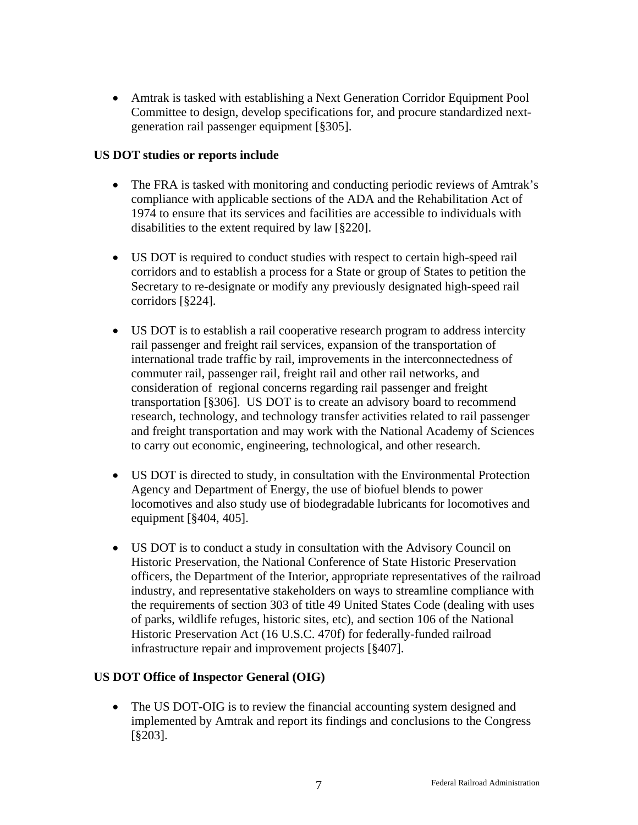• Amtrak is tasked with establishing a Next Generation Corridor Equipment Pool Committee to design, develop specifications for, and procure standardized nextgeneration rail passenger equipment [§305].

### **US DOT studies or reports include**

- The FRA is tasked with monitoring and conducting periodic reviews of Amtrak's compliance with applicable sections of the ADA and the Rehabilitation Act of 1974 to ensure that its services and facilities are accessible to individuals with disabilities to the extent required by law [§220].
- US DOT is required to conduct studies with respect to certain high-speed rail corridors and to establish a process for a State or group of States to petition the Secretary to re-designate or modify any previously designated high-speed rail corridors [§224].
- US DOT is to establish a rail cooperative research program to address intercity rail passenger and freight rail services, expansion of the transportation of international trade traffic by rail, improvements in the interconnectedness of commuter rail, passenger rail, freight rail and other rail networks, and consideration of regional concerns regarding rail passenger and freight transportation [§306]. US DOT is to create an advisory board to recommend research, technology, and technology transfer activities related to rail passenger and freight transportation and may work with the National Academy of Sciences to carry out economic, engineering, technological, and other research.
- US DOT is directed to study, in consultation with the Environmental Protection Agency and Department of Energy, the use of biofuel blends to power locomotives and also study use of biodegradable lubricants for locomotives and equipment [§404, 405].
- US DOT is to conduct a study in consultation with the Advisory Council on Historic Preservation, the National Conference of State Historic Preservation officers, the Department of the Interior, appropriate representatives of the railroad industry, and representative stakeholders on ways to streamline compliance with the requirements of section 303 of title 49 United States Code (dealing with uses of parks, wildlife refuges, historic sites, etc), and section 106 of the National Historic Preservation Act (16 U.S.C. 470f) for federally-funded railroad infrastructure repair and improvement projects [§407].

# **US DOT Office of Inspector General (OIG)**

• The US DOT-OIG is to review the financial accounting system designed and implemented by Amtrak and report its findings and conclusions to the Congress [§203].